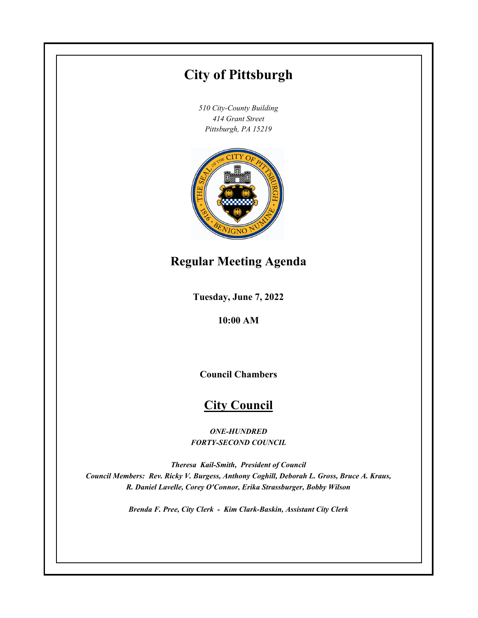# **City of Pittsburgh**

*510 City-County Building 414 Grant Street Pittsburgh, PA 15219*



## **Regular Meeting Agenda**

**Tuesday, June 7, 2022**

**10:00 AM**

**Council Chambers**

## **City Council**

*ONE-HUNDRED FORTY-SECOND COUNCIL*

*Theresa Kail-Smith, President of Council Council Members: Rev. Ricky V. Burgess, Anthony Coghill, Deborah L. Gross, Bruce A. Kraus, R. Daniel Lavelle, Corey O'Connor, Erika Strassburger, Bobby Wilson*

*Brenda F. Pree, City Clerk - Kim Clark-Baskin, Assistant City Clerk*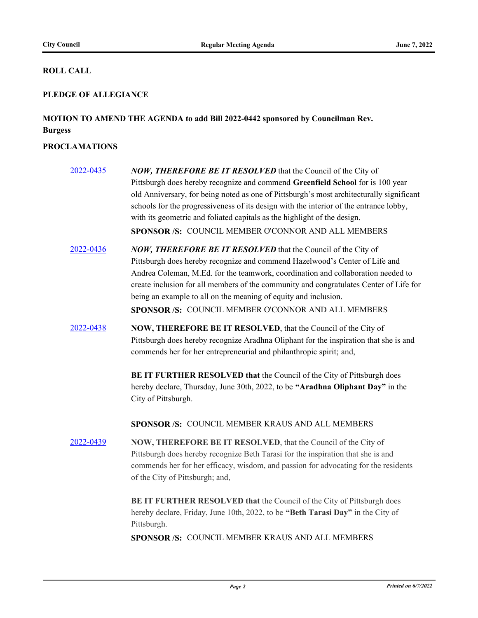### **ROLL CALL**

### **PLEDGE OF ALLEGIANCE**

## **MOTION TO AMEND THE AGENDA to add Bill 2022-0442 sponsored by Councilman Rev. Burgess**

## **PROCLAMATIONS**

| 2022-0435 | NOW, THEREFORE BE IT RESOLVED that the Council of the City of<br>Pittsburgh does hereby recognize and commend Greenfield School for is 100 year<br>old Anniversary, for being noted as one of Pittsburgh's most architecturally significant<br>schools for the progressiveness of its design with the interior of the entrance lobby,<br>with its geometric and foliated capitals as the highlight of the design.<br>SPONSOR /S: COUNCIL MEMBER O'CONNOR AND ALL MEMBERS |
|-----------|--------------------------------------------------------------------------------------------------------------------------------------------------------------------------------------------------------------------------------------------------------------------------------------------------------------------------------------------------------------------------------------------------------------------------------------------------------------------------|
| 2022-0436 | NOW, THEREFORE BE IT RESOLVED that the Council of the City of<br>Pittsburgh does hereby recognize and commend Hazelwood's Center of Life and<br>Andrea Coleman, M.Ed. for the teamwork, coordination and collaboration needed to<br>create inclusion for all members of the community and congratulates Center of Life for<br>being an example to all on the meaning of equity and inclusion.<br>SPONSOR /S: COUNCIL MEMBER O'CONNOR AND ALL MEMBERS                     |
| 2022-0438 | NOW, THEREFORE BE IT RESOLVED, that the Council of the City of<br>Pittsburgh does hereby recognize Aradhna Oliphant for the inspiration that she is and<br>commends her for her entrepreneurial and philanthropic spirit; and,<br>BE IT FURTHER RESOLVED that the Council of the City of Pittsburgh does<br>hereby declare, Thursday, June 30th, 2022, to be "Aradhna Oliphant Day" in the<br>City of Pittsburgh.<br>SPONSOR /S: COUNCIL MEMBER KRAUS AND ALL MEMBERS    |
| 2022-0439 | <b>NOW, THEREFORE BE IT RESOLVED, that the Council of the City of</b><br>Pittsburgh does hereby recognize Beth Tarasi for the inspiration that she is and<br>commends her for her efficacy, wisdom, and passion for advocating for the residents<br>of the City of Pittsburgh; and,<br>BE IT FURTHER RESOLVED that the Council of the City of Pittsburgh does<br>hereby declare, Friday, June 10th, 2022, to be "Beth Tarasi Day" in the City of<br>Pittsburgh.          |
|           | SPONSOR /S: COUNCIL MEMBER KRAUS AND ALL MEMBERS                                                                                                                                                                                                                                                                                                                                                                                                                         |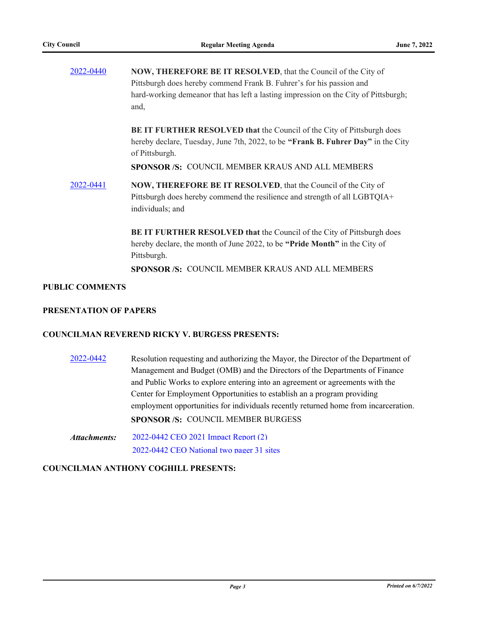| 2022-0440 | <b>NOW, THEREFORE BE IT RESOLVED, that the Council of the City of</b><br>Pittsburgh does hereby commend Frank B. Fuhrer's for his passion and<br>hard-working demeanor that has left a lasting impression on the City of Pittsburgh;<br>and,  |  |  |
|-----------|-----------------------------------------------------------------------------------------------------------------------------------------------------------------------------------------------------------------------------------------------|--|--|
|           | <b>BE IT FURTHER RESOLVED that the Council of the City of Pittsburgh does</b><br>hereby declare, Tuesday, June 7th, 2022, to be "Frank B. Fuhrer Day" in the City<br>of Pittsburgh.<br><b>SPONSOR/S: COUNCIL MEMBER KRAUS AND ALL MEMBERS</b> |  |  |
| 2022-0441 | <b>NOW, THEREFORE BE IT RESOLVED, that the Council of the City of</b><br>Pittsburgh does hereby commend the resilience and strength of all LGBTQIA+<br>individuals; and                                                                       |  |  |
|           | <b>BE IT FURTHER RESOLVED that the Council of the City of Pittsburgh does</b><br>hereby declare, the month of June 2022, to be "Pride Month" in the City of<br>Pittsburgh.                                                                    |  |  |
|           | <b>SPONSOR/S: COUNCIL MEMBER KRAUS AND ALL MEMBERS</b>                                                                                                                                                                                        |  |  |

#### **PUBLIC COMMENTS**

#### **PRESENTATION OF PAPERS**

#### **COUNCILMAN REVEREND RICKY V. BURGESS PRESENTS:**

[2022-0442](http://pittsburgh.legistar.com/gateway.aspx?m=l&id=/matter.aspx?key=27836) Resolution requesting and authorizing the Mayor, the Director of the Department of Management and Budget (OMB) and the Directors of the Departments of Finance and Public Works to explore entering into an agreement or agreements with the Center for Employment Opportunities to establish an a program providing employment opportunities for individuals recently returned home from incarceration. **SPONSOR /S:** COUNCIL MEMBER BURGESS

[2022-0442 CEO 2021 Impact Report \(2\)](http://pittsburgh.legistar.com/gateway.aspx?M=F&ID=1c8798bc-af46-4055-a5cf-344af256face.pdf) [2022-0442 CEO National two pager 31 sites](http://pittsburgh.legistar.com/gateway.aspx?M=F&ID=d12a6920-4877-497b-82c9-80586ab038ed.pdf) *Attachments:*

#### **COUNCILMAN ANTHONY COGHILL PRESENTS:**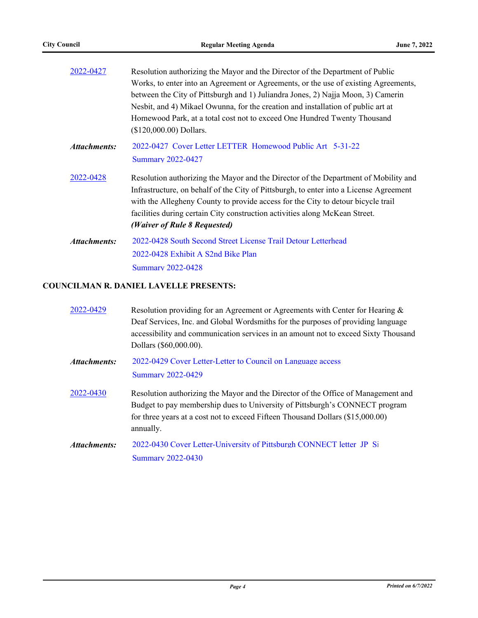| 2022-0427    | Resolution authorizing the Mayor and the Director of the Department of Public          |  |  |  |
|--------------|----------------------------------------------------------------------------------------|--|--|--|
|              | Works, to enter into an Agreement or Agreements, or the use of existing Agreements,    |  |  |  |
|              | between the City of Pittsburgh and 1) Juliandra Jones, 2) Najja Moon, 3) Camerin       |  |  |  |
|              | Nesbit, and 4) Mikael Owunna, for the creation and installation of public art at       |  |  |  |
|              | Homewood Park, at a total cost not to exceed One Hundred Twenty Thousand               |  |  |  |
|              | (\$120,000.00) Dollars.                                                                |  |  |  |
| Attachments: | 2022-0427 Cover Letter LETTER Homewood Public Art 5-31-22                              |  |  |  |
|              | <b>Summary 2022-0427</b>                                                               |  |  |  |
| 2022-0428    | Resolution authorizing the Mayor and the Director of the Department of Mobility and    |  |  |  |
|              | Infrastructure, on behalf of the City of Pittsburgh, to enter into a License Agreement |  |  |  |
|              | with the Allegheny County to provide access for the City to detour bicycle trail       |  |  |  |
|              | facilities during certain City construction activities along McKean Street.            |  |  |  |
|              | (Waiver of Rule 8 Requested)                                                           |  |  |  |
| Attachments: | 2022-0428 South Second Street License Trail Detour Letterhead                          |  |  |  |
|              | 2022-0428 Exhibit A S2nd Bike Plan                                                     |  |  |  |
|              | <b>Summary 2022-0428</b>                                                               |  |  |  |

## **COUNCILMAN R. DANIEL LAVELLE PRESENTS:**

| 2022-0429           | Resolution providing for an Agreement or Agreements with Center for Hearing &<br>Deaf Services, Inc. and Global Wordsmiths for the purposes of providing language<br>accessibility and communication services in an amount not to exceed Sixty Thousand<br>Dollars (\$60,000.00). |
|---------------------|-----------------------------------------------------------------------------------------------------------------------------------------------------------------------------------------------------------------------------------------------------------------------------------|
| Attachments:        | 2022-0429 Cover Letter-Letter to Council on Language access<br><b>Summary 2022-0429</b>                                                                                                                                                                                           |
| 2022-0430           | Resolution authorizing the Mayor and the Director of the Office of Management and<br>Budget to pay membership dues to University of Pittsburgh's CONNECT program<br>for three years at a cost not to exceed Fifteen Thousand Dollars (\$15,000.00)<br>annually.                   |
| <b>Attachments:</b> | 2022-0430 Cover Letter-University of Pittsburgh CONNECT letter JP Si<br><b>Summary 2022-0430</b>                                                                                                                                                                                  |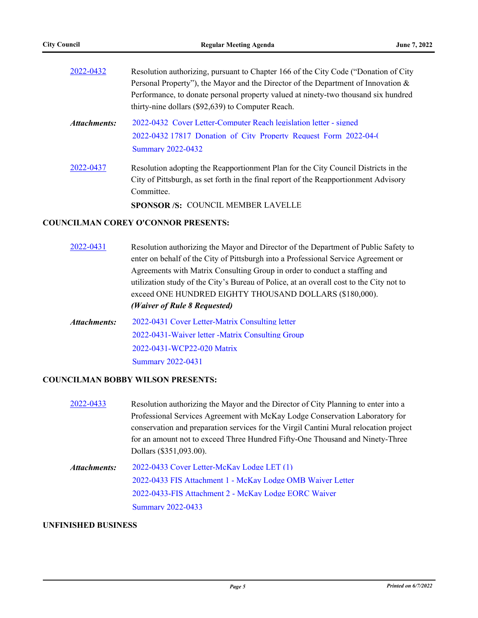| 2022-0432    | Resolution authorizing, pursuant to Chapter 166 of the City Code ("Donation of City") |  |  |
|--------------|---------------------------------------------------------------------------------------|--|--|
|              | Personal Property"), the Mayor and the Director of the Department of Innovation &     |  |  |
|              | Performance, to donate personal property valued at ninety-two thousand six hundred    |  |  |
|              | thirty-nine dollars (\$92,639) to Computer Reach.                                     |  |  |
| Attachments: | 2022-0432 Cover Letter-Computer Reach legislation letter - signed                     |  |  |
|              | 2022-0432 17817 Donation of City Property Request Form 2022-04-0                      |  |  |
|              | <b>Summary 2022-0432</b>                                                              |  |  |
| 2022-0437    | Resolution adopting the Reapportionment Plan for the City Council Districts in the    |  |  |
|              | City of Pittsburgh, as set forth in the final report of the Reapportionment Advisory  |  |  |
|              | Committee.                                                                            |  |  |
|              | <b>SPONSOR/S: COUNCIL MEMBER LAVELLE</b>                                              |  |  |
|              |                                                                                       |  |  |

#### **COUNCILMAN COREY O'CONNOR PRESENTS:**

| 2022-0431    | Resolution authorizing the Mayor and Director of the Department of Public Safety to     |  |  |  |
|--------------|-----------------------------------------------------------------------------------------|--|--|--|
|              | enter on behalf of the City of Pittsburgh into a Professional Service Agreement or      |  |  |  |
|              | Agreements with Matrix Consulting Group in order to conduct a staffing and              |  |  |  |
|              | utilization study of the City's Bureau of Police, at an overall cost to the City not to |  |  |  |
|              | exceed ONE HUNDRED EIGHTY THOUSAND DOLLARS (\$180,000).                                 |  |  |  |
|              | (Waiver of Rule 8 Requested)                                                            |  |  |  |
| Attachments: | 2022-0431 Cover Letter-Matrix Consulting letter                                         |  |  |  |
|              | 2022-0431-Waiver letter -Matrix Consulting Group                                        |  |  |  |
|              | 2022-0431-WCP22-020 Matrix                                                              |  |  |  |
|              | <b>Summary 2022-0431</b>                                                                |  |  |  |

## **COUNCILMAN BOBBY WILSON PRESENTS:**

| 2022-0433    | Resolution authorizing the Mayor and the Director of City Planning to enter into a    |  |  |
|--------------|---------------------------------------------------------------------------------------|--|--|
|              | Professional Services Agreement with McKay Lodge Conservation Laboratory for          |  |  |
|              | conservation and preparation services for the Virgil Cantini Mural relocation project |  |  |
|              | for an amount not to exceed Three Hundred Fifty-One Thousand and Ninety-Three         |  |  |
|              | Dollars (\$351,093.00).                                                               |  |  |
| Attachments: | 2022-0433 Cover Letter-McKay Lodge LET (1)                                            |  |  |
|              | 2022-0433 FIS Attachment 1 - McKay Lodge OMB Waiver Letter                            |  |  |
|              | 2022-0433-FIS Attachment 2 - McKay Lodge EORC Waiver                                  |  |  |
|              | <b>Summary 2022-0433</b>                                                              |  |  |
|              |                                                                                       |  |  |

## **UNFINISHED BUSINESS**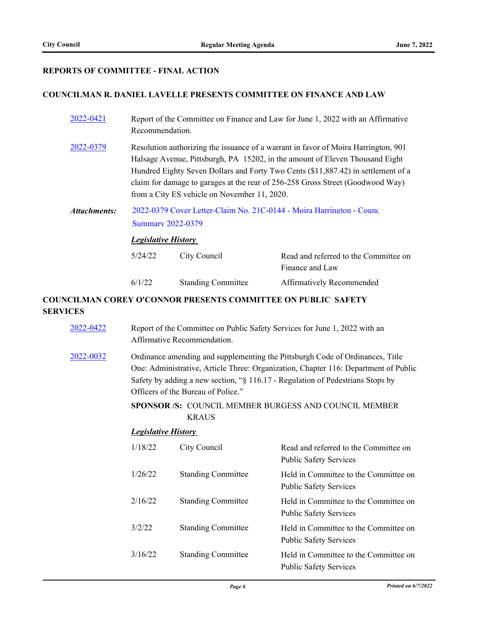### **REPORTS OF COMMITTEE - FINAL ACTION**

#### **COUNCILMAN R. DANIEL LAVELLE PRESENTS COMMITTEE ON FINANCE AND LAW**

| 2022-0421    | Report of the Committee on Finance and Law for June 1, 2022 with an Affirmative<br>Recommendation.                                                                                                                                                                                                                                                                                        |                                                           |                                                          |
|--------------|-------------------------------------------------------------------------------------------------------------------------------------------------------------------------------------------------------------------------------------------------------------------------------------------------------------------------------------------------------------------------------------------|-----------------------------------------------------------|----------------------------------------------------------|
| 2022-0379    | Resolution authorizing the issuance of a warrant in favor of Moira Harrington, 901<br>Halsage Avenue, Pittsburgh, PA 15202, in the amount of Eleven Thousand Eight<br>Hundred Eighty Seven Dollars and Forty Two Cents (\$11,887.42) in settlement of a<br>claim for damage to garages at the rear of 256-258 Gross Street (Goodwood Way)<br>from a City ES vehicle on November 11, 2020. |                                                           |                                                          |
| Attachments: | 2022-0379 Cover Letter-Claim No. 21C-0144 - Moira Harrington - Counc<br><b>Summary 2022-0379</b><br><b>Legislative History</b>                                                                                                                                                                                                                                                            |                                                           |                                                          |
|              |                                                                                                                                                                                                                                                                                                                                                                                           |                                                           |                                                          |
|              | 5/24/22                                                                                                                                                                                                                                                                                                                                                                                   | City Council                                              | Read and referred to the Committee on<br>Finance and Law |
|              | 6/1/22                                                                                                                                                                                                                                                                                                                                                                                    | <b>Standing Committee</b>                                 | Affirmatively Recommended                                |
|              |                                                                                                                                                                                                                                                                                                                                                                                           | $\alpha$ nny $\alpha$ iagrich nnnanna ag sismnin aithin f |                                                          |

### **COUNCILMAN COREY O'CONNOR PRESENTS COMMITTEE ON PUBLIC SAFETY SERVICES**

| 2022-0422 | Report of the Committee on Public Safety Services for June 1, 2022 with an<br>Affirmative Recommendation.                                                                                                                                                                                    |                                                                       |                                                                        |  |
|-----------|----------------------------------------------------------------------------------------------------------------------------------------------------------------------------------------------------------------------------------------------------------------------------------------------|-----------------------------------------------------------------------|------------------------------------------------------------------------|--|
| 2022-0032 | Ordinance amending and supplementing the Pittsburgh Code of Ordinances, Title<br>One: Administrative, Article Three: Organization, Chapter 116: Department of Public<br>Safety by adding a new section, "§ 116.17 - Regulation of Pedestrians Stops by<br>Officers of the Bureau of Police." |                                                                       |                                                                        |  |
|           |                                                                                                                                                                                                                                                                                              | SPONSOR /S: COUNCIL MEMBER BURGESS AND COUNCIL MEMBER<br><b>KRAUS</b> |                                                                        |  |
|           | <b>Legislative History</b>                                                                                                                                                                                                                                                                   |                                                                       |                                                                        |  |
|           | 1/18/22                                                                                                                                                                                                                                                                                      | City Council                                                          | Read and referred to the Committee on<br><b>Public Safety Services</b> |  |
|           | 1/26/22                                                                                                                                                                                                                                                                                      | <b>Standing Committee</b>                                             | Held in Committee to the Committee on<br><b>Public Safety Services</b> |  |
|           | 2/16/22                                                                                                                                                                                                                                                                                      | <b>Standing Committee</b>                                             | Held in Committee to the Committee on<br><b>Public Safety Services</b> |  |
|           | 3/2/22                                                                                                                                                                                                                                                                                       | <b>Standing Committee</b>                                             | Held in Committee to the Committee on<br><b>Public Safety Services</b> |  |
|           | 3/16/22                                                                                                                                                                                                                                                                                      | <b>Standing Committee</b>                                             | Held in Committee to the Committee on<br><b>Public Safety Services</b> |  |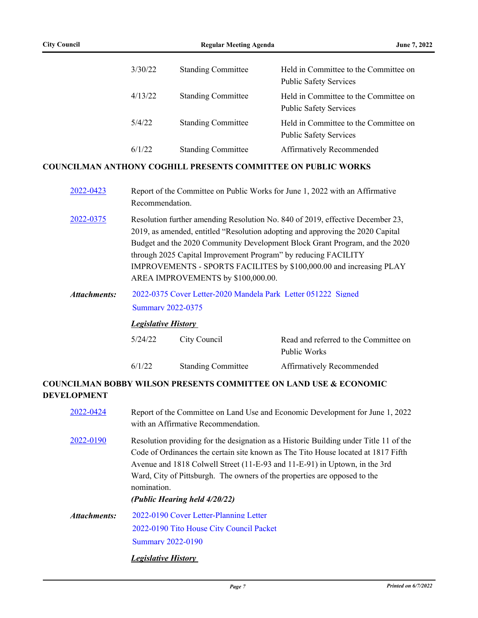|                     | 3/30/22                                                                                                                                                                                                                                                                                                                                                                                                                        | <b>Standing Committee</b>                                            | Held in Committee to the Committee on<br><b>Public Safety Services</b> |
|---------------------|--------------------------------------------------------------------------------------------------------------------------------------------------------------------------------------------------------------------------------------------------------------------------------------------------------------------------------------------------------------------------------------------------------------------------------|----------------------------------------------------------------------|------------------------------------------------------------------------|
|                     | 4/13/22                                                                                                                                                                                                                                                                                                                                                                                                                        | <b>Standing Committee</b>                                            | Held in Committee to the Committee on<br><b>Public Safety Services</b> |
|                     | 5/4/22                                                                                                                                                                                                                                                                                                                                                                                                                         | <b>Standing Committee</b>                                            | Held in Committee to the Committee on<br><b>Public Safety Services</b> |
|                     | 6/1/22                                                                                                                                                                                                                                                                                                                                                                                                                         | <b>Standing Committee</b>                                            | Affirmatively Recommended                                              |
|                     |                                                                                                                                                                                                                                                                                                                                                                                                                                | <b>COUNCILMAN ANTHONY COGHILL PRESENTS COMMITTEE ON PUBLIC WORKS</b> |                                                                        |
| 2022-0423           | Report of the Committee on Public Works for June 1, 2022 with an Affirmative<br>Recommendation.                                                                                                                                                                                                                                                                                                                                |                                                                      |                                                                        |
| 2022-0375           | Resolution further amending Resolution No. 840 of 2019, effective December 23,<br>2019, as amended, entitled "Resolution adopting and approving the 2020 Capital<br>Budget and the 2020 Community Development Block Grant Program, and the 2020<br>through 2025 Capital Improvement Program" by reducing FACILITY<br>IMPROVEMENTS - SPORTS FACILITES by \$100,000.00 and increasing PLAY<br>AREA IMPROVEMENTS by \$100,000.00. |                                                                      |                                                                        |
| <b>Attachments:</b> | 2022-0375 Cover Letter-2020 Mandela Park Letter 051222 Signed                                                                                                                                                                                                                                                                                                                                                                  |                                                                      |                                                                        |
|                     | <b>Summary 2022-0375</b>                                                                                                                                                                                                                                                                                                                                                                                                       |                                                                      |                                                                        |
|                     | <b>Legislative History</b>                                                                                                                                                                                                                                                                                                                                                                                                     |                                                                      |                                                                        |
|                     | 5/24/22                                                                                                                                                                                                                                                                                                                                                                                                                        | City Council                                                         | Read and referred to the Committee on<br>Public Works                  |
|                     | 6/1/22                                                                                                                                                                                                                                                                                                                                                                                                                         | <b>Standing Committee</b>                                            | Affirmatively Recommended                                              |
|                     |                                                                                                                                                                                                                                                                                                                                                                                                                                |                                                                      |                                                                        |

## **COUNCILMAN BOBBY WILSON PRESENTS COMMITTEE ON LAND USE & ECONOMIC DEVELOPMENT**

| 2022-0424    | Report of the Committee on Land Use and Economic Development for June 1, 2022<br>with an Affirmative Recommendation.                                                                                                                                                                                                                                                                  |  |
|--------------|---------------------------------------------------------------------------------------------------------------------------------------------------------------------------------------------------------------------------------------------------------------------------------------------------------------------------------------------------------------------------------------|--|
| 2022-0190    | Resolution providing for the designation as a Historic Building under Title 11 of the<br>Code of Ordinances the certain site known as The Tito House located at 1817 Fifth<br>Avenue and 1818 Colwell Street (11-E-93 and 11-E-91) in Uptown, in the 3rd<br>Ward, City of Pittsburgh. The owners of the properties are opposed to the<br>nomination.<br>(Public Hearing held 4/20/22) |  |
| Attachments: | 2022-0190 Cover Letter-Planning Letter<br>2022-0190 Tito House City Council Packet<br><b>Summary 2022-0190</b>                                                                                                                                                                                                                                                                        |  |
|              | <i>Legislative History</i>                                                                                                                                                                                                                                                                                                                                                            |  |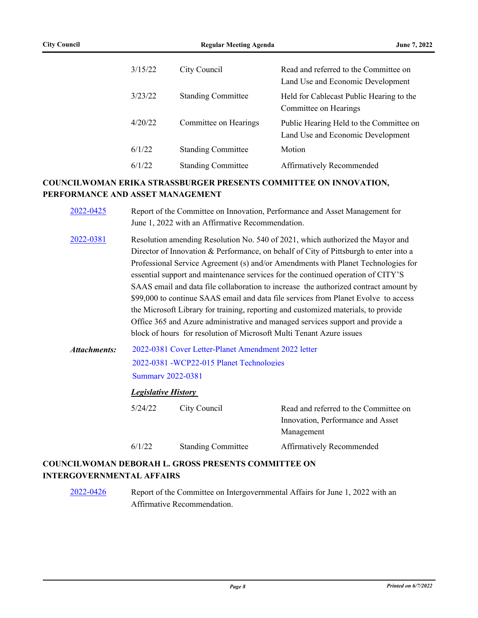| 3/15/22 | City Council              | Read and referred to the Committee on<br>Land Use and Economic Development   |
|---------|---------------------------|------------------------------------------------------------------------------|
| 3/23/22 | <b>Standing Committee</b> | Held for Cablecast Public Hearing to the<br>Committee on Hearings            |
| 4/20/22 | Committee on Hearings     | Public Hearing Held to the Committee on<br>Land Use and Economic Development |
| 6/1/22  | <b>Standing Committee</b> | Motion                                                                       |
| 6/1/22  | <b>Standing Committee</b> | Affirmatively Recommended                                                    |

## **COUNCILWOMAN ERIKA STRASSBURGER PRESENTS COMMITTEE ON INNOVATION, PERFORMANCE AND ASSET MANAGEMENT**

| 2022-0425    |                                                                                                                             | Report of the Committee on Innovation, Performance and Asset Management for<br>June 1, 2022 with an Affirmative Recommendation.                                                                                                                                                                                                                                                                                                                                                                                                                                                                                                                                                                                                                                                 |                                                                                          |  |  |  |  |
|--------------|-----------------------------------------------------------------------------------------------------------------------------|---------------------------------------------------------------------------------------------------------------------------------------------------------------------------------------------------------------------------------------------------------------------------------------------------------------------------------------------------------------------------------------------------------------------------------------------------------------------------------------------------------------------------------------------------------------------------------------------------------------------------------------------------------------------------------------------------------------------------------------------------------------------------------|------------------------------------------------------------------------------------------|--|--|--|--|
| 2022-0381    |                                                                                                                             | Resolution amending Resolution No. 540 of 2021, which authorized the Mayor and<br>Director of Innovation & Performance, on behalf of City of Pittsburgh to enter into a<br>Professional Service Agreement (s) and/or Amendments with Planet Technologies for<br>essential support and maintenance services for the continued operation of CITY'S<br>SAAS email and data file collaboration to increase the authorized contract amount by<br>\$99,000 to continue SAAS email and data file services from Planet Evolve to access<br>the Microsoft Library for training, reporting and customized materials, to provide<br>Office 365 and Azure administrative and managed services support and provide a<br>block of hours for resolution of Microsoft Multi Tenant Azure issues |                                                                                          |  |  |  |  |
| Attachments: | 2022-0381 Cover Letter-Planet Amendment 2022 letter<br>2022-0381 -WCP22-015 Planet Technologies<br><b>Summary 2022-0381</b> |                                                                                                                                                                                                                                                                                                                                                                                                                                                                                                                                                                                                                                                                                                                                                                                 |                                                                                          |  |  |  |  |
|              | <b>Legislative History</b>                                                                                                  |                                                                                                                                                                                                                                                                                                                                                                                                                                                                                                                                                                                                                                                                                                                                                                                 |                                                                                          |  |  |  |  |
|              | 5/24/22                                                                                                                     | City Council                                                                                                                                                                                                                                                                                                                                                                                                                                                                                                                                                                                                                                                                                                                                                                    | Read and referred to the Committee on<br>Innovation, Performance and Asset<br>Management |  |  |  |  |
|              | 6/1/22                                                                                                                      | <b>Standing Committee</b>                                                                                                                                                                                                                                                                                                                                                                                                                                                                                                                                                                                                                                                                                                                                                       | <b>Affirmatively Recommended</b>                                                         |  |  |  |  |
|              |                                                                                                                             | CII WAMAN NEDODA ILI - CDOGG BDEGENTG COMMITTEE ON                                                                                                                                                                                                                                                                                                                                                                                                                                                                                                                                                                                                                                                                                                                              |                                                                                          |  |  |  |  |

## **COUNCILWOMAN DEBORAH L. GROSS PRESENTS COMMITTEE ON INTERGOVERNMENTAL AFFAIRS**

[2022-0426](http://pittsburgh.legistar.com/gateway.aspx?m=l&id=/matter.aspx?key=27809) Report of the Committee on Intergovernmental Affairs for June 1, 2022 with an Affirmative Recommendation.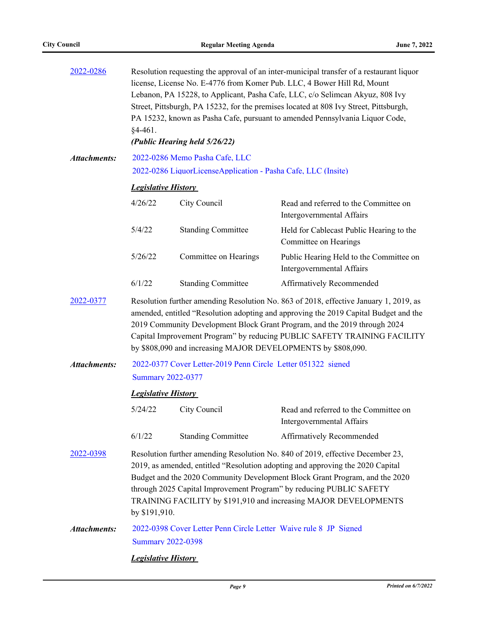| 2022-0286           | Resolution requesting the approval of an inter-municipal transfer of a restaurant liquor<br>license, License No. E-4776 from Komer Pub. LLC, 4 Bower Hill Rd, Mount<br>Lebanon, PA 15228, to Applicant, Pasha Cafe, LLC, c/o Selimcan Akyuz, 808 Ivy<br>Street, Pittsburgh, PA 15232, for the premises located at 808 Ivy Street, Pittsburgh,<br>PA 15232, known as Pasha Cafe, pursuant to amended Pennsylvania Liquor Code,<br>$§4-461.$<br>(Public Hearing held 5/26/22) |                           |                                                                      |  |  |  |
|---------------------|-----------------------------------------------------------------------------------------------------------------------------------------------------------------------------------------------------------------------------------------------------------------------------------------------------------------------------------------------------------------------------------------------------------------------------------------------------------------------------|---------------------------|----------------------------------------------------------------------|--|--|--|
|                     |                                                                                                                                                                                                                                                                                                                                                                                                                                                                             |                           |                                                                      |  |  |  |
| <b>Attachments:</b> | 2022-0286 Memo Pasha Cafe, LLC<br>2022-0286 LiquorLicenseApplication - Pasha Cafe, LLC (Insite)                                                                                                                                                                                                                                                                                                                                                                             |                           |                                                                      |  |  |  |
|                     |                                                                                                                                                                                                                                                                                                                                                                                                                                                                             |                           |                                                                      |  |  |  |
|                     | <b>Legislative History</b>                                                                                                                                                                                                                                                                                                                                                                                                                                                  |                           |                                                                      |  |  |  |
|                     | 4/26/22                                                                                                                                                                                                                                                                                                                                                                                                                                                                     | City Council              | Read and referred to the Committee on<br>Intergovernmental Affairs   |  |  |  |
|                     | 5/4/22                                                                                                                                                                                                                                                                                                                                                                                                                                                                      | <b>Standing Committee</b> | Held for Cablecast Public Hearing to the<br>Committee on Hearings    |  |  |  |
|                     | 5/26/22                                                                                                                                                                                                                                                                                                                                                                                                                                                                     | Committee on Hearings     | Public Hearing Held to the Committee on<br>Intergovernmental Affairs |  |  |  |
|                     | 6/1/22                                                                                                                                                                                                                                                                                                                                                                                                                                                                      | <b>Standing Committee</b> | Affirmatively Recommended                                            |  |  |  |
| 2022-0377           | Resolution further amending Resolution No. 863 of 2018, effective January 1, 2019, as<br>amended, entitled "Resolution adopting and approving the 2019 Capital Budget and the<br>2019 Community Development Block Grant Program, and the 2019 through 2024<br>Capital Improvement Program" by reducing PUBLIC SAFETY TRAINING FACILITY<br>by \$808,090 and increasing MAJOR DEVELOPMENTS by \$808,090.                                                                      |                           |                                                                      |  |  |  |
| <b>Attachments:</b> | 2022-0377 Cover Letter-2019 Penn Circle Letter 051322 signed                                                                                                                                                                                                                                                                                                                                                                                                                |                           |                                                                      |  |  |  |
|                     | <b>Summary 2022-0377</b>                                                                                                                                                                                                                                                                                                                                                                                                                                                    |                           |                                                                      |  |  |  |
|                     | <b>Legislative History</b>                                                                                                                                                                                                                                                                                                                                                                                                                                                  |                           |                                                                      |  |  |  |
|                     | 5/24/22                                                                                                                                                                                                                                                                                                                                                                                                                                                                     | City Council              | Read and referred to the Committee on<br>Intergovernmental Affairs   |  |  |  |
|                     | 6/1/22                                                                                                                                                                                                                                                                                                                                                                                                                                                                      | <b>Standing Committee</b> | Affirmatively Recommended                                            |  |  |  |
| 2022-0398           | Resolution further amending Resolution No. 840 of 2019, effective December 23,<br>2019, as amended, entitled "Resolution adopting and approving the 2020 Capital<br>Budget and the 2020 Community Development Block Grant Program, and the 2020<br>through 2025 Capital Improvement Program" by reducing PUBLIC SAFETY<br>TRAINING FACILITY by \$191,910 and increasing MAJOR DEVELOPMENTS<br>by \$191,910.                                                                 |                           |                                                                      |  |  |  |
| <b>Attachments:</b> | 2022-0398 Cover Letter Penn Circle Letter Waive rule 8 JP Signed                                                                                                                                                                                                                                                                                                                                                                                                            |                           |                                                                      |  |  |  |
|                     | <b>Summary 2022-0398</b>                                                                                                                                                                                                                                                                                                                                                                                                                                                    |                           |                                                                      |  |  |  |
|                     | <b>Legislative History</b>                                                                                                                                                                                                                                                                                                                                                                                                                                                  |                           |                                                                      |  |  |  |